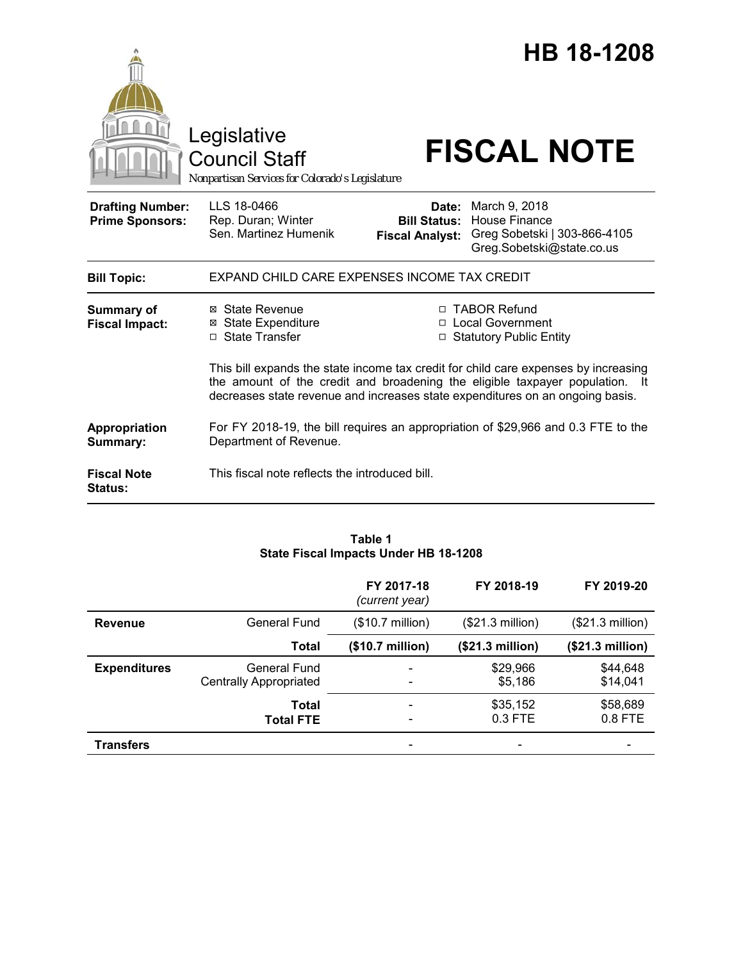|                                                   | Legislative<br><b>Council Staff</b><br>Nonpartisan Services for Colorado's Legislature |                                                        | <b>HB 18-1208</b><br><b>FISCAL NOTE</b>                                                                                                                                                                                                              |
|---------------------------------------------------|----------------------------------------------------------------------------------------|--------------------------------------------------------|------------------------------------------------------------------------------------------------------------------------------------------------------------------------------------------------------------------------------------------------------|
| <b>Drafting Number:</b><br><b>Prime Sponsors:</b> | LLS 18-0466<br>Rep. Duran; Winter<br>Sen. Martinez Humenik                             | Date:<br><b>Bill Status:</b><br><b>Fiscal Analyst:</b> | March 9, 2018<br><b>House Finance</b><br>Greg Sobetski   303-866-4105<br>Greg.Sobetski@state.co.us                                                                                                                                                   |
| <b>Bill Topic:</b>                                | EXPAND CHILD CARE EXPENSES INCOME TAX CREDIT                                           |                                                        |                                                                                                                                                                                                                                                      |
| <b>Summary of</b><br><b>Fiscal Impact:</b>        | ⊠ State Revenue<br><b>⊠</b> State Expenditure<br>□ State Transfer                      |                                                        | □ TABOR Refund<br>□ Local Government<br>□ Statutory Public Entity                                                                                                                                                                                    |
|                                                   |                                                                                        |                                                        | This bill expands the state income tax credit for child care expenses by increasing<br>the amount of the credit and broadening the eligible taxpayer population. It<br>decreases state revenue and increases state expenditures on an ongoing basis. |
| Appropriation<br>Summary:                         | Department of Revenue.                                                                 |                                                        | For FY 2018-19, the bill requires an appropriation of \$29,966 and 0.3 FTE to the                                                                                                                                                                    |
| <b>Fiscal Note</b><br><b>Status:</b>              | This fiscal note reflects the introduced bill.                                         |                                                        |                                                                                                                                                                                                                                                      |

# **Table 1 State Fiscal Impacts Under HB 18-1208**

|                     |                                               | FY 2017-18<br>(current year)                             | FY 2018-19                | FY 2019-20           |
|---------------------|-----------------------------------------------|----------------------------------------------------------|---------------------------|----------------------|
| <b>Revenue</b>      | General Fund                                  | $($10.7 \text{ million})$                                | $($21.3 \text{ million})$ | (\$21.3 million)     |
|                     | <b>Total</b>                                  | (\$10.7 million)                                         | (\$21.3 million)          | (\$21.3 million)     |
| <b>Expenditures</b> | General Fund<br><b>Centrally Appropriated</b> | $\overline{\phantom{a}}$<br>$\overline{\phantom{a}}$     | \$29,966<br>\$5,186       | \$44,648<br>\$14,041 |
|                     | Total<br><b>Total FTE</b>                     | $\qquad \qquad \blacksquare$<br>$\overline{\phantom{a}}$ | \$35,152<br>0.3 FTE       | \$58,689<br>0.8 FTE  |
| <b>Transfers</b>    |                                               | -                                                        |                           |                      |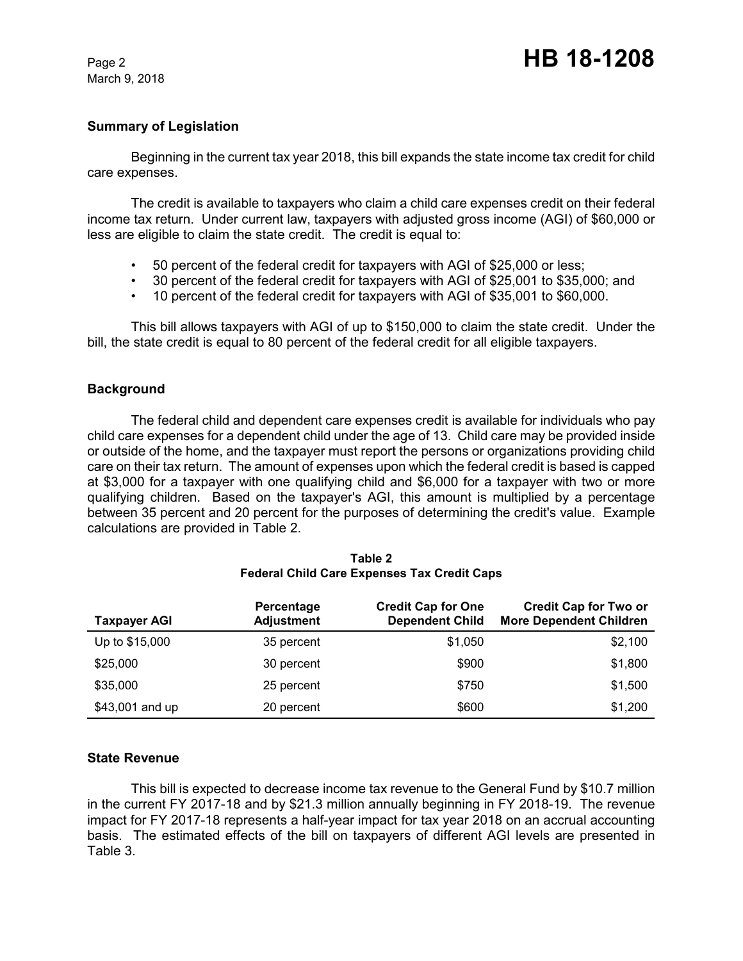March 9, 2018

## **Summary of Legislation**

Beginning in the current tax year 2018, this bill expands the state income tax credit for child care expenses.

The credit is available to taxpayers who claim a child care expenses credit on their federal income tax return. Under current law, taxpayers with adjusted gross income (AGI) of \$60,000 or less are eligible to claim the state credit. The credit is equal to:

- 50 percent of the federal credit for taxpayers with AGI of \$25,000 or less;
- 30 percent of the federal credit for taxpayers with AGI of \$25,001 to \$35,000; and
- 10 percent of the federal credit for taxpayers with AGI of \$35,001 to \$60,000.

This bill allows taxpayers with AGI of up to \$150,000 to claim the state credit. Under the bill, the state credit is equal to 80 percent of the federal credit for all eligible taxpayers.

## **Background**

The federal child and dependent care expenses credit is available for individuals who pay child care expenses for a dependent child under the age of 13. Child care may be provided inside or outside of the home, and the taxpayer must report the persons or organizations providing child care on their tax return. The amount of expenses upon which the federal credit is based is capped at \$3,000 for a taxpayer with one qualifying child and \$6,000 for a taxpayer with two or more qualifying children. Based on the taxpayer's AGI, this amount is multiplied by a percentage between 35 percent and 20 percent for the purposes of determining the credit's value. Example calculations are provided in Table 2.

| <b>Taxpayer AGI</b> | Percentage<br><b>Adjustment</b> | <b>Credit Cap for One</b><br><b>Dependent Child</b> | <b>Credit Cap for Two or</b><br><b>More Dependent Children</b> |
|---------------------|---------------------------------|-----------------------------------------------------|----------------------------------------------------------------|
| Up to \$15,000      | 35 percent                      | \$1,050                                             | \$2,100                                                        |
| \$25,000            | 30 percent                      | \$900                                               | \$1,800                                                        |
| \$35,000            | 25 percent                      | \$750                                               | \$1,500                                                        |
| \$43,001 and up     | 20 percent                      | \$600                                               | \$1,200                                                        |

#### **Table 2 Federal Child Care Expenses Tax Credit Caps**

## **State Revenue**

This bill is expected to decrease income tax revenue to the General Fund by \$10.7 million in the current FY 2017-18 and by \$21.3 million annually beginning in FY 2018-19. The revenue impact for FY 2017-18 represents a half-year impact for tax year 2018 on an accrual accounting basis. The estimated effects of the bill on taxpayers of different AGI levels are presented in Table 3.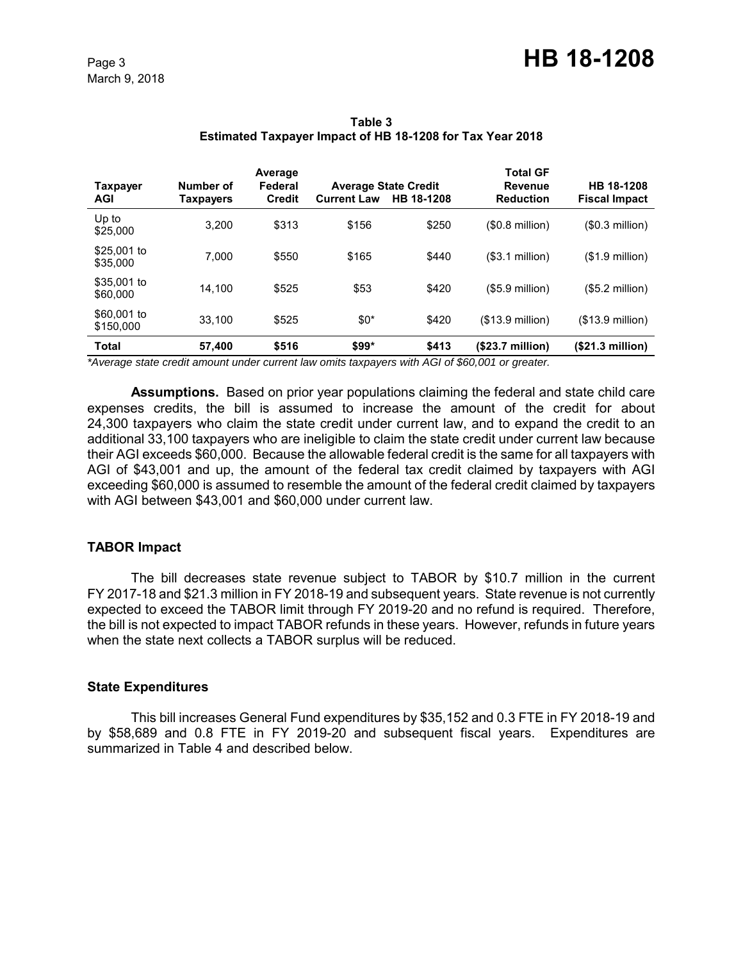March 9, 2018

| <b>Taxpayer</b><br>AGI   | Number of<br><b>Taxpayers</b> | Average<br>Federal<br><b>Credit</b> | <b>Current Law</b> | <b>Average State Credit</b><br>HB 18-1208 | <b>Total GF</b><br>Revenue<br><b>Reduction</b> | HB 18-1208<br><b>Fiscal Impact</b> |
|--------------------------|-------------------------------|-------------------------------------|--------------------|-------------------------------------------|------------------------------------------------|------------------------------------|
| Up to<br>\$25,000        | 3.200                         | \$313                               | \$156              | \$250                                     | $$0.8$ million)                                | (\$0.3 million)                    |
| \$25,001 to<br>\$35,000  | 7.000                         | \$550                               | \$165              | \$440                                     | (\$3.1 million)                                | $($1.9$ million)                   |
| \$35,001 to<br>\$60,000  | 14.100                        | \$525                               | \$53               | \$420                                     | $($5.9$ million)                               | $($5.2$ million)                   |
| \$60,001 to<br>\$150,000 | 33.100                        | \$525                               | $$0*$              | \$420                                     | $($13.9$ million)                              | $($13.9$ million)                  |
| <b>Total</b>             | 57,400                        | \$516                               | \$99*              | \$413                                     | (\$23.7 million)                               | (\$21.3 million)                   |

**Table 3 Estimated Taxpayer Impact of HB 18-1208 for Tax Year 2018**

*\*Average state credit amount under current law omits taxpayers with AGI of \$60,001 or greater.*

**Assumptions.** Based on prior year populations claiming the federal and state child care expenses credits, the bill is assumed to increase the amount of the credit for about 24,300 taxpayers who claim the state credit under current law, and to expand the credit to an additional 33,100 taxpayers who are ineligible to claim the state credit under current law because their AGI exceeds \$60,000. Because the allowable federal credit is the same for all taxpayers with AGI of \$43,001 and up, the amount of the federal tax credit claimed by taxpayers with AGI exceeding \$60,000 is assumed to resemble the amount of the federal credit claimed by taxpayers with AGI between \$43,001 and \$60,000 under current law.

## **TABOR Impact**

The bill decreases state revenue subject to TABOR by \$10.7 million in the current FY 2017-18 and \$21.3 million in FY 2018-19 and subsequent years. State revenue is not currently expected to exceed the TABOR limit through FY 2019-20 and no refund is required. Therefore, the bill is not expected to impact TABOR refunds in these years. However, refunds in future years when the state next collects a TABOR surplus will be reduced.

#### **State Expenditures**

This bill increases General Fund expenditures by \$35,152 and 0.3 FTE in FY 2018-19 and by \$58,689 and 0.8 FTE in FY 2019-20 and subsequent fiscal years. Expenditures are summarized in Table 4 and described below.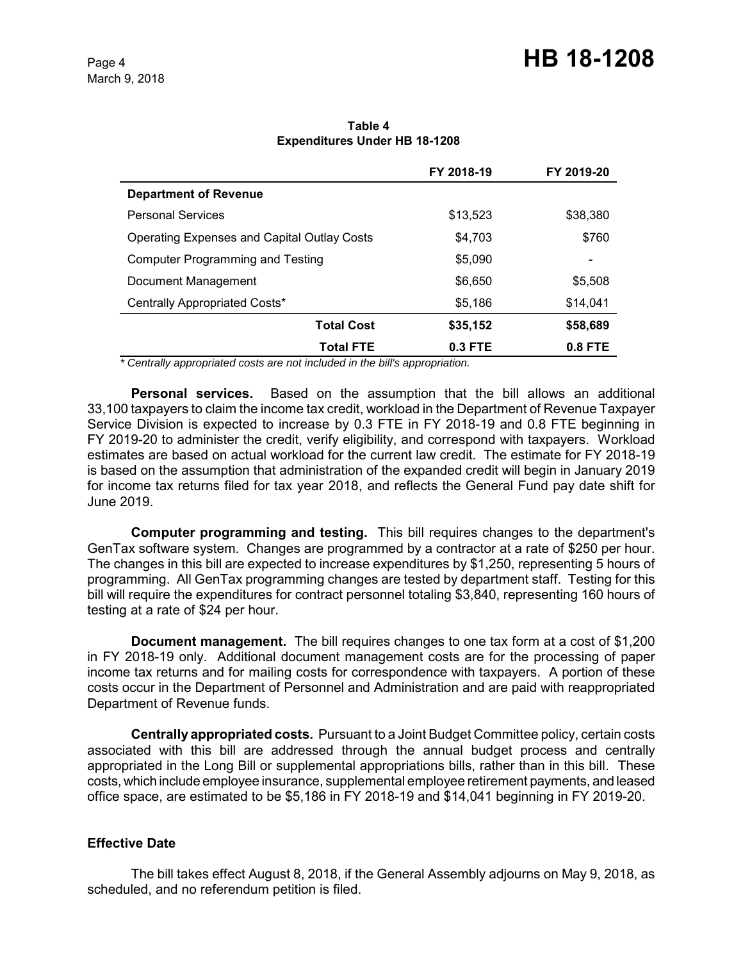|                                                    | FY 2018-19 | FY 2019-20 |
|----------------------------------------------------|------------|------------|
| <b>Department of Revenue</b>                       |            |            |
| <b>Personal Services</b>                           | \$13,523   | \$38,380   |
| <b>Operating Expenses and Capital Outlay Costs</b> | \$4.703    | \$760      |
| <b>Computer Programming and Testing</b>            | \$5,090    | -          |
| Document Management                                | \$6,650    | \$5,508    |
| Centrally Appropriated Costs*                      | \$5.186    | \$14.041   |
| <b>Total Cost</b>                                  | \$35,152   | \$58,689   |
| <b>Total FTE</b>                                   | $0.3$ FTE  | $0.8$ FTE  |

**Table 4 Expenditures Under HB 18-1208**

 *\* Centrally appropriated costs are not included in the bill's appropriation.*

**Personal services.** Based on the assumption that the bill allows an additional 33,100 taxpayers to claim the income tax credit, workload in the Department of Revenue Taxpayer Service Division is expected to increase by 0.3 FTE in FY 2018-19 and 0.8 FTE beginning in FY 2019-20 to administer the credit, verify eligibility, and correspond with taxpayers. Workload estimates are based on actual workload for the current law credit. The estimate for FY 2018-19 is based on the assumption that administration of the expanded credit will begin in January 2019 for income tax returns filed for tax year 2018, and reflects the General Fund pay date shift for June 2019.

**Computer programming and testing.** This bill requires changes to the department's GenTax software system. Changes are programmed by a contractor at a rate of \$250 per hour. The changes in this bill are expected to increase expenditures by \$1,250, representing 5 hours of programming. All GenTax programming changes are tested by department staff. Testing for this bill will require the expenditures for contract personnel totaling \$3,840, representing 160 hours of testing at a rate of \$24 per hour.

**Document management.** The bill requires changes to one tax form at a cost of \$1,200 in FY 2018-19 only. Additional document management costs are for the processing of paper income tax returns and for mailing costs for correspondence with taxpayers. A portion of these costs occur in the Department of Personnel and Administration and are paid with reappropriated Department of Revenue funds.

**Centrally appropriated costs.** Pursuant to a Joint Budget Committee policy, certain costs associated with this bill are addressed through the annual budget process and centrally appropriated in the Long Bill or supplemental appropriations bills, rather than in this bill. These costs, which include employee insurance, supplemental employee retirement payments, and leased office space, are estimated to be \$5,186 in FY 2018-19 and \$14,041 beginning in FY 2019-20.

## **Effective Date**

The bill takes effect August 8, 2018, if the General Assembly adjourns on May 9, 2018, as scheduled, and no referendum petition is filed.